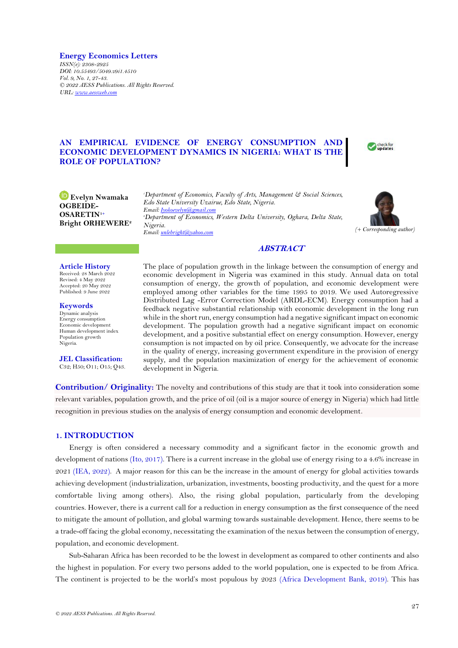**Energy Economics Letters** *ISSN(e): 2308-2925 DOI: 10.55493/5049.v9i1.4510 Vol. 9, No. 1, 27-43. © 2022 AESS Publications. All Rights Reserved. URL[: www.aessweb.com](http://www.aessweb.com/)*

# **AN EMPIRICAL EVIDENCE OF ENERGY CONSUMPTION AND ECONOMIC DEVELOPMENT DYNAMICS IN NIGERIA: WHAT IS THE ROLE OF POPULATION?**



**Evelyn Nwamaka OGBEIDE-OSARETIN1+ Bright ORHEWERE<sup>2</sup>**

*<sup>1</sup>Department of Economics, Faculty of Arts, Management & Social Sciences, Edo State University Uzairue, Edo State, Nigeria. Email[: Iyokoevelyn@gmail.com](mailto:Iyokoevelyn@gmail.com)  <sup>2</sup>Department of Economics, Western Delta University, Oghara, Delta State, Nigeria. Email[: unlebright@yahoo.com](mailto:unlebright@yahoo.com) (+ Corresponding author)*



# **ABSTRACT**

**Article History** Received: 28 March 2022 Revised: 4 May 2022 Accepted: 20 May 2022 Published: 9 June 2022

**Keywords** Dynamic analysis Energy consumption Economic development Human development index Population growth Nigeria.

**JEL Classification:** C32; H50; O11; O15; Q43. The place of population growth in the linkage between the consumption of energy and economic development in Nigeria was examined in this study. Annual data on total consumption of energy, the growth of population, and economic development were employed among other variables for the time 1995 to 2019. We used Autoregressive Distributed Lag -Error Correction Model (ARDL-ECM). Energy consumption had a feedback negative substantial relationship with economic development in the long run while in the short run, energy consumption had a negative significant impact on economic development. The population growth had a negative significant impact on economic development, and a positive substantial effect on energy consumption. However, energy consumption is not impacted on by oil price. Consequently, we advocate for the increase in the quality of energy, increasing government expenditure in the provision of energy supply, and the population maximization of energy for the achievement of economic development in Nigeria.

**Contribution/ Originality:** The novelty and contributions of this study are that it took into consideration some relevant variables, population growth, and the price of oil (oil is a major source of energy in Nigeria) which had little recognition in previous studies on the analysis of energy consumption and economic development.

# **1. INTRODUCTION**

Energy is often considered a necessary commodity and a significant factor in the economic growth and development of nations [\(Ito, 2017\)](#page-14-0). There is a current increase in the global use of energy rising to a 4.6% increase in 2021 [\(IEA, 2022\)](#page-14-1). A major reason for this can be the increase in the amount of energy for global activities towards achieving development (industrialization, urbanization, investments, boosting productivity, and the quest for a more comfortable living among others). Also, the rising global population, particularly from the developing countries. However, there is a current call for a reduction in energy consumption as the first consequence of the need to mitigate the amount of pollution, and global warming towards sustainable development. Hence, there seems to be a trade-off facing the global economy, necessitating the examination of the nexus between the consumption of energy, population, and economic development.

Sub-Saharan Africa has been recorded to be the lowest in development as compared to other continents and also the highest in population. For every two persons added to the world population, one is expected to be from Africa. The continent is projected to be the world's most populous by 2023 [\(Africa Development Bank, 2019\)](#page-13-0). This has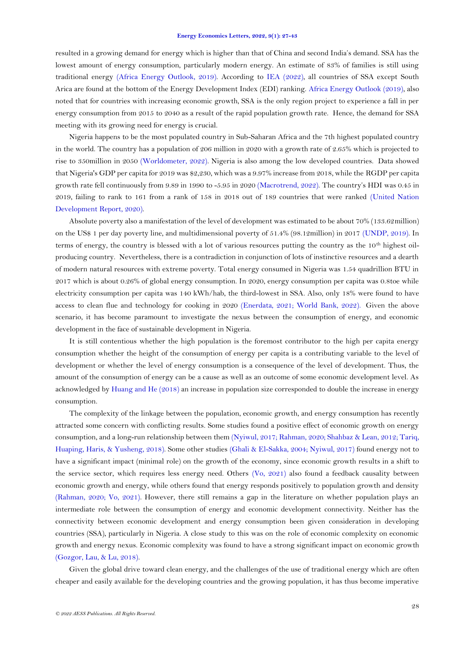resulted in a growing demand for energy which is higher than that of China and second India's demand. SSA has the lowest amount of energy consumption, particularly modern energy. An estimate of 83% of families is still using traditional energy [\(Africa Energy Outlook, 2019\)](#page-13-1). According to [IEA \(2022\)](#page-14-1), all countries of SSA except South Arica are found at the bottom of the Energy Development Index (EDI) ranking. [Africa Energy Outlook \(2019\)](#page-13-1), also noted that for countries with increasing economic growth, SSA is the only region project to experience a fall in per energy consumption from 2015 to 2040 as a result of the rapid population growth rate. Hence, the demand for SSA meeting with its growing need for energy is crucial.

Nigeria happens to be the most populated country in Sub-Saharan Africa and the 7th highest populated country in the world. The country has a population of 206 million in 2020 with a growth rate of 2.65% which is projected to rise to 350million in 2050 [\(Worldometer, 2022\)](#page-15-0). Nigeria is also among the low developed countries. Data showed that Nigeria's GDP per capita for 2019 was \$2,230, which was a 9.97% increase from 2018, while the RGDP per capita growth rate fell continuously from 9.89 in 1990 to -5.95 in 2020 [\(Macrotrend, 2022\)](#page-14-2). The country's HDI was 0.45 in 2019, failing to rank to 161 from a rank of 158 in 2018 out of 189 countries that were ranked [\(United Nation](#page-15-1)  [Development Report, 2020\)](#page-15-1).

Absolute poverty also a manifestation of the level of development was estimated to be about 70% (133.62million) on the US\$ 1 per day poverty line, and multidimensional poverty of 51.4% (98.12million) in 2017 [\(UNDP, 2019\)](#page-15-2). In terms of energy, the country is blessed with a lot of various resources putting the country as the 10th highest oilproducing country. Nevertheless, there is a contradiction in conjunction of lots of instinctive resources and a dearth of modern natural resources with extreme poverty. Total energy consumed in Nigeria was 1.54 quadrillion BTU in 2017 which is about 0.26% of global energy consumption. In 2020, energy consumption per capita was 0.8toe while electricity consumption per capita was 140 kWh/hab, the third-lowest in SSA. Also, only 18% were found to have access to clean flue and technology for cooking in 2020 [\(Enerdata, 2021;](#page-13-2) [World Bank, 2022\)](#page-15-3). Given the above scenario, it has become paramount to investigate the nexus between the consumption of energy, and economic development in the face of sustainable development in Nigeria.

It is still contentious whether the high population is the foremost contributor to the high per capita energy consumption whether the height of the consumption of energy per capita is a contributing variable to the level of development or whether the level of energy consumption is a consequence of the level of development. Thus, the amount of the consumption of energy can be a cause as well as an outcome of some economic development level. As acknowledged by [Huang and He \(2018\)](#page-14-3) an increase in population size corresponded to double the increase in energy consumption.

The complexity of the linkage between the population, economic growth, and energy consumption has recently attracted some concern with conflicting results. Some studies found a positive effect of economic growth on energy consumption, and a long-run relationship between them [\(Nyiwul, 2017;](#page-14-4) [Rahman, 2020;](#page-15-4) [Shahbaz & Lean, 2012;](#page-15-5) [Tariq,](#page-15-6)  [Huaping, Haris, & Yusheng, 2018\)](#page-15-6). Some other studies [\(Ghali & El-Sakka, 2004;](#page-13-3) [Nyiwul, 2017\)](#page-14-4) found energy not to have a significant impact (minimal role) on the growth of the economy, since economic growth results in a shift to the service sector, which requires less energy need. Others [\(Vo, 2021\)](#page-15-7) also found a feedback causality between economic growth and energy, while others found that energy responds positively to population growth and density [\(Rahman, 2020;](#page-15-4) [Vo, 2021\)](#page-15-7). However, there still remains a gap in the literature on whether population plays an intermediate role between the consumption of energy and economic development connectivity. Neither has the connectivity between economic development and energy consumption been given consideration in developing countries (SSA), particularly in Nigeria. A close study to this was on the role of economic complexity on economic growth and energy nexus. Economic complexity was found to have a strong significant impact on economic growth [\(Gozgor, Lau, & Lu, 2018\)](#page-13-4).

Given the global drive toward clean energy, and the challenges of the use of traditional energy which are often cheaper and easily available for the developing countries and the growing population, it has thus become imperative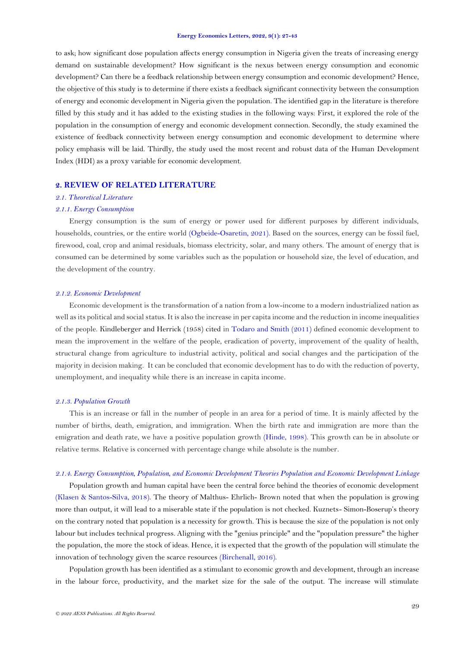to ask; how significant dose population affects energy consumption in Nigeria given the treats of increasing energy demand on sustainable development? How significant is the nexus between energy consumption and economic development? Can there be a feedback relationship between energy consumption and economic development? Hence, the objective of this study is to determine if there exists a feedback significant connectivity between the consumption of energy and economic development in Nigeria given the population. The identified gap in the literature is therefore filled by this study and it has added to the existing studies in the following ways: First, it explored the role of the population in the consumption of energy and economic development connection. Secondly, the study examined the existence of feedback connectivity between energy consumption and economic development to determine where policy emphasis will be laid. Thirdly, the study used the most recent and robust data of the Human Development Index (HDI) as a proxy variable for economic development.

# **2. REVIEW OF RELATED LITERATURE**

# *2.1. Theoretical Literature*

## *2.1.1. Energy Consumption*

Energy consumption is the sum of energy or power used for different purposes by different individuals, households, countries, or the entire world [\(Ogbeide-Osaretin, 2021\)](#page-14-5). Based on the sources, energy can be fossil fuel, firewood, coal, crop and animal residuals, biomass electricity, solar, and many others. The amount of energy that is consumed can be determined by some variables such as the population or household size, the level of education, and the development of the country.

## *2.1.2. Economic Development*

Economic development is the transformation of a nation from a low-income to a modern industrialized nation as well as its political and social status. It is also the increase in per capita income and the reduction in income inequalities of the people. Kindleberger and Herrick (1958) cited in [Todaro and Smith \(2011\)](#page-15-8) defined economic development to mean the improvement in the welfare of the people, eradication of poverty, improvement of the quality of health, structural change from agriculture to industrial activity, political and social changes and the participation of the majority in decision making. It can be concluded that economic development has to do with the reduction of poverty, unemployment, and inequality while there is an increase in capita income.

## *2.1.3. Population Growth*

This is an increase or fall in the number of people in an area for a period of time. It is mainly affected by the number of births, death, emigration, and immigration. When the birth rate and immigration are more than the emigration and death rate, we have a positive population growth [\(Hinde, 1998\)](#page-13-5). This growth can be in absolute or relative terms. Relative is concerned with percentage change while absolute is the number.

## *2.1.4. Energy Consumption, Population, and Economic Development Theories Population and Economic Development Linkage*

Population growth and human capital have been the central force behind the theories of economic development [\(Klasen & Santos-Silva, 2018\)](#page-14-6). The theory of Malthus- Ehrlich- Brown noted that when the population is growing more than output, it will lead to a miserable state if the population is not checked. Kuznets- Simon-Boserup's theory on the contrary noted that population is a necessity for growth. This is because the size of the population is not only labour but includes technical progress. Aligning with the "genius principle" and the "population pressure" the higher the population, the more the stock of ideas. Hence, it is expected that the growth of the population will stimulate the innovation of technology given the scarce resources [\(Birchenall, 2016\)](#page-13-6).

Population growth has been identified as a stimulant to economic growth and development, through an increase in the labour force, productivity, and the market size for the sale of the output. The increase will stimulate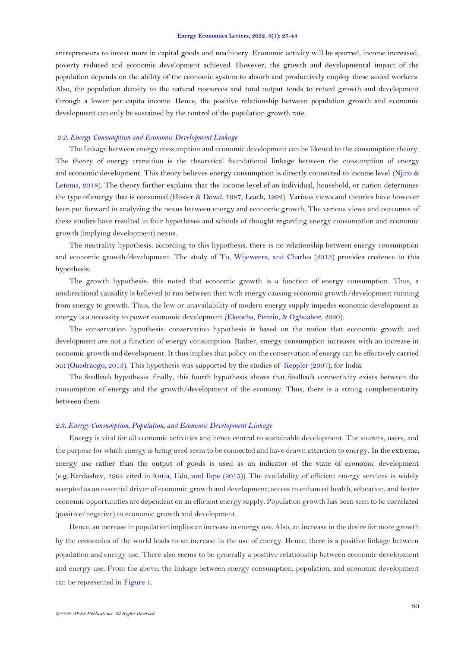entrepreneurs to invest more in capital goods and machinery. Economic activity will be spurred, income increased, poverty reduced and economic development achieved. However, the growth and developmental impact of the population depends on the ability of the economic system to absorb and productively employ these added workers. Also, the population density to the natural resources and total output tends to retard growth and development through a lower per capita income. Hence, the positive relationship between population growth and economic development can only be sustained by the control of the population growth rate.

## *2.2. Energy Consumption and Economic Development Linkage*

The linkage between energy consumption and economic development can be likened to the consumption theory. The theory of energy transition is the theoretical foundational linkage between the consumption of energy and economic development. This theory believes energy consumption is directly connected to income level [\(Njiru &](#page-14-7)  [Letema, 2018\)](#page-14-7). The theory further explains that the income level of an individual, household, or nation determines the type of energy that is consumed [\(Hosier & Dowd, 1987;](#page-13-7) [Leach, 1992\)](#page-14-8). Various views and theories have however been put forward in analyzing the nexus between energy and economic growth. The various views and outcomes of these studies have resulted in four hypotheses and schools of thought regarding energy consumption and economic growth (implying development) nexus.

The neutrality hypothesis: according to this hypothesis, there is no relationship between energy consumption and economic growth/development. The study of [To, Wijeweera, and Charles \(2013\)](#page-15-9) provides credence to this hypothesis.

The growth hypothesis: this noted that economic growth is a function of energy consumption. Thus, a unidirectional causality is believed to run between then with energy causing economic growth/development running from energy to growth. Thus, the low or unavailability of modern energy supply impedes economic development as energy is a necessity to power economic development [\(Ekeocha, Penzin, & Ogbuabor, 2020\)](#page-13-8).

The conservation hypothesis: conservation hypothesis is based on the notion that economic growth and development are not a function of energy consumption. Rather, energy consumption increases with an increase in economic growth and development. It thus implies that policy on the conservation of energy can be effectively carried out [\(Ouedraogo, 2013\)](#page-15-10). This hypothesis was supported by the studies of [Keppler \(2007\)](#page-14-9), for India.

The feedback hypothesis: finally, this fourth hypothesis shows that feedback connectivity exists between the consumption of energy and the growth/development of the economy. Thus, there is a strong complementarity between them.

# *2.3. Energy Consumption, Population, and Economic Development Linkage*

Energy is vital for all economic activities and hence central to sustainable development. The sources, users, and the purpose for which energy is being used seem to be connected and have drawn attention to energy. In the extreme, energy use rather than the output of goods is used as an indicator of the state of economic development (e.g. Kardashev, 1964 cited in [Antia, Udo, and Ikpe \(2015\)](#page-13-9)). The availability of efficient energy services is widely accepted as an essential driver of economic growth and development; access to enhanced health, education, and better economic opportunities are dependent on an efficient energy supply. Population growth has been seen to be correlated (positive/negative) to economic growth and development.

Hence, an increase in population implies an increase in energy use. Also, an increase in the desire for more growth by the economies of the world leads to an increase in the use of energy. Hence, there is a positive linkage between population and energy use. There also seems to be generally a positive relationship between economic development and energy use. From the above, the linkage between energy consumption, population, and economic development can be represented in [Figure](#page-4-0) 1.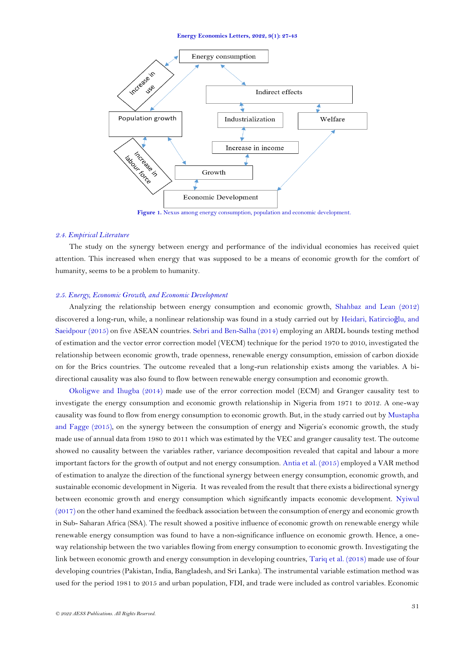

**Figure 1.** Nexus among energy consumption, population and economic development.

### <span id="page-4-0"></span>*2.4. Empirical Literature*

The study on the synergy between energy and performance of the individual economies has received quiet attention. This increased when energy that was supposed to be a means of economic growth for the comfort of humanity, seems to be a problem to humanity.

## *2.5. Energy, Economic Growth, and Economic Development*

Analyzing the relationship between energy consumption and economic growth, [Shahbaz and Lean \(2012\)](#page-15-5) discovered a long-run, while, a nonlinear relationship was found in a study carried out by [Heidari, Katircio](#page-13-10)ğlu, and [Saeidpour \(2015\)](#page-13-10) on five ASEAN countries. [Sebri and Ben-Salha \(2014\)](#page-15-11) employing an ARDL bounds testing method of estimation and the vector error correction model (VECM) technique for the period 1970 to 2010, investigated the relationship between economic growth, trade openness, renewable energy consumption, emission of carbon dioxide on for the Brics countries. The outcome revealed that a long-run relationship exists among the variables. A bidirectional causality was also found to flow between renewable energy consumption and economic growth.

[Okoligwe and Ihugba \(2014\)](#page-14-10) made use of the error correction model (ECM) and Granger causality test to investigate the energy consumption and economic growth relationship in Nigeria from 1971 to 2012. A one-way causality was found to flow from energy consumption to economic growth. But, in the study carried out b[y Mustapha](#page-14-11)  [and Fagge \(2015\)](#page-14-11), on the synergy between the consumption of energy and Nigeria's economic growth, the study made use of annual data from 1980 to 2011 which was estimated by the VEC and granger causality test. The outcome showed no causality between the variables rather, variance decomposition revealed that capital and labour a more important factors for the growth of output and not energy consumption[. Antia et al. \(2015\)](#page-13-9) employed a VAR method of estimation to analyze the direction of the functional synergy between energy consumption, economic growth, and sustainable economic development in Nigeria. It was revealed from the result that there exists a bidirectional synergy between economic growth and energy consumption which significantly impacts economic development. [Nyiwul](#page-14-4)   $(2017)$  on the other hand examined the feedback association between the consumption of energy and economic growth in Sub- Saharan Africa (SSA). The result showed a positive influence of economic growth on renewable energy while renewable energy consumption was found to have a non-significance influence on economic growth. Hence, a oneway relationship between the two variables flowing from energy consumption to economic growth. Investigating the link between economic growth and energy consumption in developing countries, [Tariq et al. \(2018\)](#page-15-6) made use of four developing countries (Pakistan, India, Bangladesh, and Sri Lanka). The instrumental variable estimation method was used for the period 1981 to 2015 and urban population, FDI, and trade were included as control variables. Economic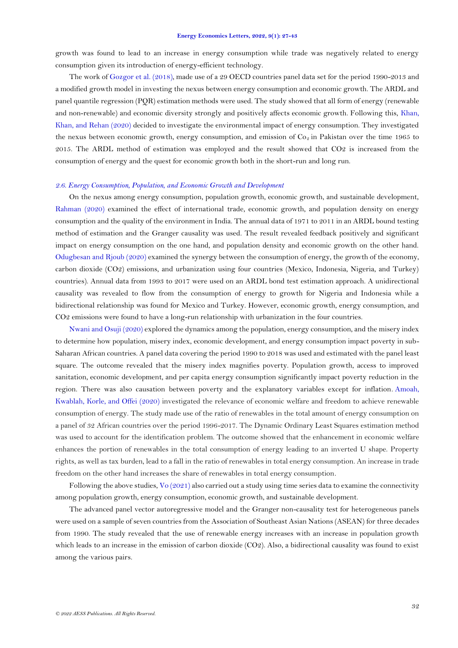growth was found to lead to an increase in energy consumption while trade was negatively related to energy consumption given its introduction of energy-efficient technology.

The work o[f Gozgor et al. \(2018\)](#page-13-4), made use of a 29 OECD countries panel data set for the period 1990-2013 and a modified growth model in investing the nexus between energy consumption and economic growth. The ARDL and panel quantile regression (PQR) estimation methods were used. The study showed that all form of energy (renewable and non-renewable) and economic diversity strongly and positively affects economic growth. Following this, [Khan,](#page-14-12)  [Khan, and Rehan \(2020\)](#page-14-12) decided to investigate the environmental impact of energy consumption. They investigated the nexus between economic growth, energy consumption, and emission of  $Co_2$  in Pakistan over the time 1965 to 2015. The ARDL method of estimation was employed and the result showed that CO2 is increased from the consumption of energy and the quest for economic growth both in the short-run and long run.

### 2.6. Energy Consumption, Population, and Economic Growth and Development

On the nexus among energy consumption, population growth, economic growth, and sustainable development, [Rahman \(2020\)](#page-15-4) examined the effect of international trade, economic growth, and population density on energy consumption and the quality of the environment in India. The annual data of 1971 to 2011 in an ARDL bound testing method of estimation and the Granger causality was used. The result revealed feedback positively and significant impact on energy consumption on the one hand, and population density and economic growth on the other hand. [Odugbesan and Rjoub \(2020\)](#page-14-13) examined the synergy between the consumption of energy, the growth of the economy, carbon dioxide (CO2) emissions, and urbanization using four countries (Mexico, Indonesia, Nigeria, and Turkey) countries). Annual data from 1993 to 2017 were used on an ARDL bond test estimation approach. A unidirectional causality was revealed to flow from the consumption of energy to growth for Nigeria and Indonesia while a bidirectional relationship was found for Mexico and Turkey. However, economic growth, energy consumption, and CO2 emissions were found to have a long-run relationship with urbanization in the four countries.

[Nwani and Osuji \(2020\)](#page-14-14) explored the dynamics among the population, energy consumption, and the misery index to determine how population, misery index, economic development, and energy consumption impact poverty in sub-Saharan African countries. A panel data covering the period 1990 to 2018 was used and estimated with the panel least square. The outcome revealed that the misery index magnifies poverty. Population growth, access to improved sanitation, economic development, and per capita energy consumption significantly impact poverty reduction in the region. There was also causation between poverty and the explanatory variables except for inflation. [Amoah,](#page-13-11)  [Kwablah, Korle, and Offei \(2020\)](#page-13-11) investigated the relevance of economic welfare and freedom to achieve renewable consumption of energy. The study made use of the ratio of renewables in the total amount of energy consumption on a panel of 32 African countries over the period 1996-2017. The Dynamic Ordinary Least Squares estimation method was used to account for the identification problem. The outcome showed that the enhancement in economic welfare enhances the portion of renewables in the total consumption of energy leading to an inverted U shape. Property rights, as well as tax burden, lead to a fall in the ratio of renewables in total energy consumption. An increase in trade freedom on the other hand increases the share of renewables in total energy consumption.

Following the above studies[, Vo \(2021\)](#page-15-7) also carried out a study using time series data to examine the connectivity among population growth, energy consumption, economic growth, and sustainable development.

The advanced panel vector autoregressive model and the Granger non-causality test for heterogeneous panels were used on a sample of seven countries from the Association of Southeast Asian Nations (ASEAN) for three decades from 1990. The study revealed that the use of renewable energy increases with an increase in population growth which leads to an increase in the emission of carbon dioxide (CO2). Also, a bidirectional causality was found to exist among the various pairs.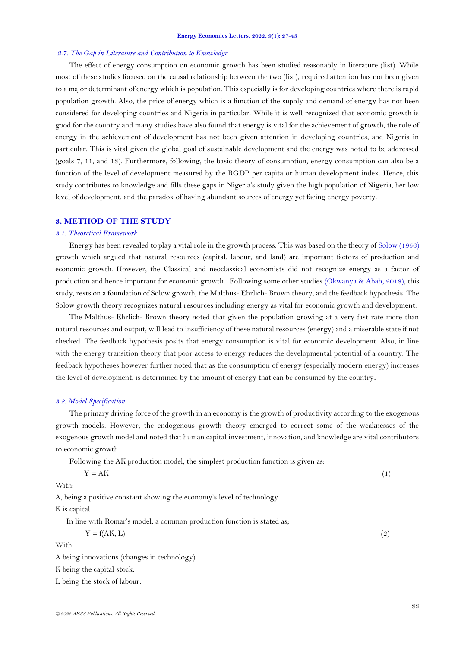### *2.7. The Gap in Literature and Contribution to Knowledge*

The effect of energy consumption on economic growth has been studied reasonably in literature (list). While most of these studies focused on the causal relationship between the two (list), required attention has not been given to a major determinant of energy which is population. This especially is for developing countries where there is rapid population growth. Also, the price of energy which is a function of the supply and demand of energy has not been considered for developing countries and Nigeria in particular. While it is well recognized that economic growth is good for the country and many studies have also found that energy is vital for the achievement of growth, the role of energy in the achievement of development has not been given attention in developing countries, and Nigeria in particular. This is vital given the global goal of sustainable development and the energy was noted to be addressed (goals 7, 11, and 13). Furthermore, following, the basic theory of consumption, energy consumption can also be a function of the level of development measured by the RGDP per capita or human development index. Hence, this study contributes to knowledge and fills these gaps in Nigeria's study given the high population of Nigeria, her low level of development, and the paradox of having abundant sources of energy yet facing energy poverty.

# **3. METHOD OF THE STUDY**

### *3.1. Theoretical Framework*

Energy has been revealed to play a vital role in the growth process. This was based on the theory of [Solow \(1956\)](#page-15-12) growth which argued that natural resources (capital, labour, and land) are important factors of production and economic growth. However, the Classical and neoclassical economists did not recognize energy as a factor of production and hence important for economic growth. Following some other studies [\(Okwanya & Abah, 2018\)](#page-14-15), this study, rests on a foundation of Solow growth, the Malthus- Ehrlich- Brown theory, and the feedback hypothesis. The Solow growth theory recognizes natural resources including energy as vital for economic growth and development.

The Malthus- Ehrlich- Brown theory noted that given the population growing at a very fast rate more than natural resources and output, will lead to insufficiency of these natural resources (energy) and a miserable state if not checked. The feedback hypothesis posits that energy consumption is vital for economic development. Also, in line with the energy transition theory that poor access to energy reduces the developmental potential of a country. The feedback hypotheses however further noted that as the consumption of energy (especially modern energy) increases the level of development, is determined by the amount of energy that can be consumed by the country**.**

## *3.2. Model Specification*

The primary driving force of the growth in an economy is the growth of productivity according to the exogenous growth models. However, the endogenous growth theory emerged to correct some of the weaknesses of the exogenous growth model and noted that human capital investment, innovation, and knowledge are vital contributors to economic growth.

Following the AK production model, the simplest production function is given as:

| 1.77<br>$\mathbf{v}$<br>$\overline{\phantom{0}}$<br>АK<br>$\overline{\phantom{a}}$<br>.<br>the contract of the contract of the contract of the contract of the contract of |  | $\sim$<br>1 |
|----------------------------------------------------------------------------------------------------------------------------------------------------------------------------|--|-------------|
|                                                                                                                                                                            |  |             |

With:

A, being a positive constant showing the economy's level of technology. K is capital.

In line with Romar's model, a common production function is stated as;

| $Y = f(AK, L)$<br>(9) |
|-----------------------|
|                       |

With:

A being innovations (changes in technology).

K being the capital stock.

L being the stock of labour.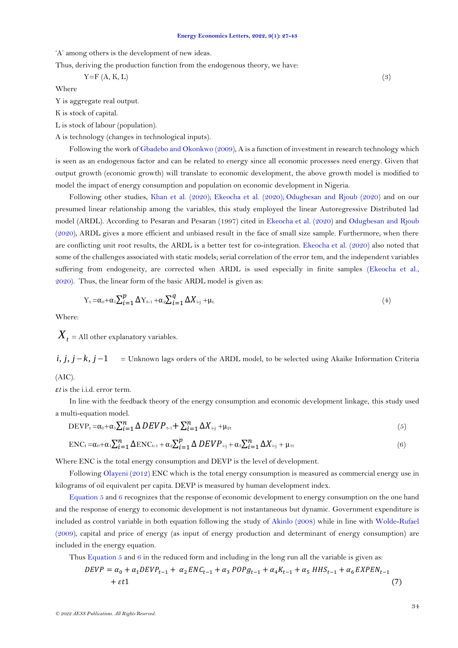'A' among others is the development of new ideas.

Thus, deriving the production function from the endogenous theory, we have:

$$
Y = F(A, K, L) \tag{3}
$$

Where

Y is aggregate real output.

K is stock of capital.

L is stock of labour (population).

A is technology (changes in technological inputs).

Following the work o[f Gbadebo and Okonkwo \(2009\)](#page-13-12), A is a function of investment in research technology which is seen as an endogenous factor and can be related to energy since all economic processes need energy. Given that output growth (economic growth) will translate to economic development, the above growth model is modified to model the impact of energy consumption and population on economic development in Nigeria.

Following other studies, [Khan et al. \(2020\)](#page-14-12); [Ekeocha et al. \(2020\)](#page-13-8); [Odugbesan and Rjoub \(2020\)](#page-14-13) and on our presumed linear relationship among the variables, this study employed the linear Autoregressive Distributed lad model (ARDL). According to Pesaran and Pesaran (1997) cited in [Ekeocha et al. \(2020\)](#page-13-8) and [Odugbesan and Rjoub](#page-14-13)  [\(2020\)](#page-14-13), ARDL gives a more efficient and unbiased result in the face of small size sample. Furthermore, when there are conflicting unit root results, the ARDL is a better test for co-integration. [Ekeocha et al. \(2020\)](#page-13-8) also noted that some of the challenges associated with static models; serial correlation of the error tem, and the independent variables suffering from endogeneity, are corrected when ARDL is used especially in finite samples [\(Ekeocha et al.,](#page-13-8)  [2020\)](#page-13-8). Thus, the linear form of the basic ARDL model is given as:

$$
Y_t = \alpha_0 + \alpha_1 \sum_{i=1}^p \Delta Y_{t-1} + \alpha_2 \sum_{i=1}^q \Delta X_{i-j} + \mu_t.
$$
\n
$$
\tag{4}
$$

Where:

 $\boldsymbol{X}_{t}$  = All other explanatory variables.

 = Unknown lags orders of the ARDL model, to be selected using Akaike Information Criteria  $i, j, j - k, j - 1$ 

(AIC).

*εt* is the i.i.d. error term.

In line with the feedback theory of the energy consumption and economic development linkage, this study used a multi-equation model.

$$
DEVP_t = \alpha_0 + \alpha_1 \sum_{i=1}^n \Delta DEVP_{t-1} + \sum_{i=1}^n \Delta X_{i-j} + \mu_{2t}
$$
\n
$$
\tag{5}
$$

<span id="page-7-1"></span><span id="page-7-0"></span>
$$
ENC_{t} = \alpha_0 + \alpha_1 \sum_{i=1}^{n} \Delta ENC_{t-1} + \alpha_2 \sum_{i=1}^{p} \Delta DEVP_{i-j} + \alpha_3 \sum_{i=1}^{n} \Delta X_{i-j} + \mu_{1t}
$$
\n
$$
\tag{6}
$$

Where ENC is the total energy consumption and DEVP is the level of development.

Followin[g Olayeni \(2012\)](#page-15-13) ENC which is the total energy consumption is measured as commercial energy use in kilograms of oil equivalent per capita. DEVP is measured by human development index.

[Equation 5](#page-7-0) and [6](#page-7-1) recognizes that the response of economic development to energy consumption on the one hand and the response of energy to economic development is not instantaneous but dynamic. Government expenditure is included as control variable in both equation following the study of [Akinlo \(2008\)](#page-13-13) while in line with [Wolde-Rufael](#page-15-14)  [\(2009\)](#page-15-14), capital and price of energy (as input of energy production and determinant of energy consumption) are included in the energy equation.

Thus Equation  $5$  and  $6$  in the reduced form and including in the long run all the variable is given as:

$$
DEVP = \alpha_0 + \alpha_1 DEVP_{t-1} + \alpha_2 ENC_{t-1} + \alpha_3 POPg_{t-1} + \alpha_4 K_{t-1} + \alpha_5 HHS_{t-1} + \alpha_6 EXPEN_{t-1} + \varepsilon t1
$$
\n(7)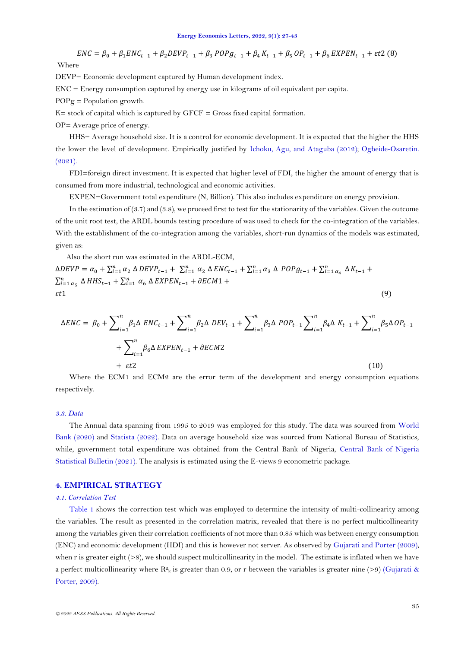$ENC = \beta_0 + \beta_1 ENC_{t-1} + \beta_2 DEVP_{t-1} + \beta_3 POP_{t-1} + \beta_4 K_{t-1} + \beta_5 OP_{t-1} + \beta_6 EXPEN_{t-1} + \varepsilon t2$  (8) Where

DEVP= Economic development captured by Human development index.

ENC = Energy consumption captured by energy use in kilograms of oil equivalent per capita.

 $POPg = Population$  growth.

 $K=$  stock of capital which is captured by  $GFCF = Gross$  fixed capital formation.

OP= Average price of energy.

HHS= Average household size. It is a control for economic development. It is expected that the higher the HHS the lower the level of development. Empirically justified by [Ichoku, Agu, and Ataguba \(2012\)](#page-14-16); [Ogbeide-Osaretin.](#page-14-5)   $(2021)$ .

FDI=foreign direct investment. It is expected that higher level of FDI, the higher the amount of energy that is consumed from more industrial, technological and economic activities.

EXPEN=Government total expenditure (N, Billion). This also includes expenditure on energy provision.

In the estimation of  $(3.7)$  and  $(3.8)$ , we proceed first to test for the stationarity of the variables. Given the outcome of the unit root test, the ARDL bounds testing procedure of was used to check for the co-integration of the variables. With the establishment of the co-integration among the variables, short-run dynamics of the models was estimated, given as:

Also the short run was estimated in the ARDL-ECM,

 $\triangle DEFV = \alpha_0 + \sum_{i=1}^n \alpha_2 \triangle DEFV_{t-1} + \sum_{i=1}^n \alpha_2 \triangle ENC_{t-1} + \sum_{i=1}^n \alpha_3 \triangle POPg_{t-1} + \sum_{i=1}^n \alpha_4 \triangle K_{t-1} +$  $\sum_{i=1}^{n} \alpha_{5} \Delta HHS_{t-1} + \sum_{i=1}^{n} \alpha_{6} \Delta EXPEN_{t-1} + \partial ECM1 +$  $\epsilon t$ 1 (9)

$$
\Delta ENC = \beta_0 + \sum_{i=1}^n \beta_1 \Delta ENC_{t-1} + \sum_{i=1}^n \beta_2 \Delta DEV_{t-1} + \sum_{i=1}^n \beta_3 \Delta POP_{t-1} \sum_{i=1}^n \beta_4 \Delta K_{t-1} + \sum_{i=1}^n \beta_5 \Delta OP_{t-1} + \sum_{i=1}^n \beta_6 \Delta EXPEN_{t-1} + \partial ECM2
$$
\n
$$
+ \varepsilon t2
$$
\n(10)

Where the ECM1 and ECM2 are the error term of the development and energy consumption equations respectively.

## *3.3. Data*

The Annual data spanning from 1995 to 2019 was employed for this study. The data was sourced from [World](#page-15-15)  [Bank \(2020\)](#page-15-15) and [Statista \(2022\)](#page-15-16). Data on average household size was sourced from National Bureau of Statistics, while, government total expenditure was obtained from the Central Bank of Nigeria, [Central Bank of Nigeria](#page-13-14)  [Statistical Bulletin \(2021\)](#page-13-14). The analysis is estimated using the E-views 9 econometric package.

# **4. EMPIRICAL STRATEGY**

# *4.1. Correlation Test*

[Table 1](#page-9-0) shows the correction test which was employed to determine the intensity of multi-collinearity among the variables. The result as presented in the correlation matrix, revealed that there is no perfect multicollinearity among the variables given their correlation coefficients of not more than 0.85 which was between energy consumption (ENC) and economic development (HDI) and this is however not server. As observed b[y Gujarati and Porter \(2009\)](#page-13-15), when r is greater eight  $(>8)$ , we should suspect multicollinearity in the model. The estimate is inflated when we have a perfect multicollinearity where  $R^2$ <sub>k</sub> is greater than 0.9, or r between the variables is greater nine (>9) (Gujarati & [Porter, 2009\)](#page-13-15).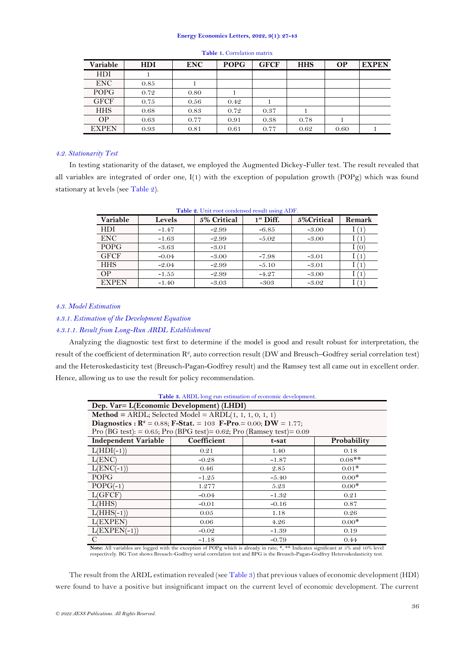<span id="page-9-0"></span>

| Variable     | <b>HDI</b> | <b>ENC</b> | <b>POPG</b> | <b>GFCF</b> | <b>HHS</b> | <b>OP</b> | <b>EXPEN</b> |
|--------------|------------|------------|-------------|-------------|------------|-----------|--------------|
| HDI          |            |            |             |             |            |           |              |
| ENC.         | 0.85       |            |             |             |            |           |              |
| <b>POPG</b>  | 0.72       | 0.80       |             |             |            |           |              |
| <b>GFCF</b>  | 0.75       | 0.56       | 0.42        |             |            |           |              |
| <b>HHS</b>   | 0.68       | 0.83       | 0.72        | 0.37        |            |           |              |
| OP.          | 0.63       | 0.77       | 0.91        | 0.38        | 0.78       |           |              |
| <b>EXPEN</b> | 0.93       | 0.81       | 0.61        | 0.77        | 0.62       | 0.60      |              |

#### **Table 1.** Correlation matrix

# *4.2. Stationarity Test*

In testing stationarity of the dataset, we employed the Augmented Dickey-Fuller test. The result revealed that all variables are integrated of order one, I(1) with the exception of population growth (POPg) which was found stationary at levels (see [Table 2\)](#page-9-1).

<span id="page-9-1"></span>

| Variable     | Levels  | 5% Critical | $1st$ Diff. | 5%Critical | Remark |
|--------------|---------|-------------|-------------|------------|--------|
| HDI          | $-1.47$ | $-2.99$     | $-6.85$     | $-3.00$    |        |
| <b>ENC</b>   | $-1.63$ | $-2.99$     | $-5.02$     | $-3.00$    |        |
| <b>POPG</b>  | $-3.63$ | $-3.01$     |             |            | Ω)     |
| <b>GFCF</b>  | $-0.04$ | $-3.00$     | $-7.98$     | $-3.01$    |        |
| <b>HHS</b>   | $-2.04$ | $-2.99$     | $-5.10$     | $-3.01$    |        |
| OΡ           | $-1.55$ | $-2.99$     | $-4.27$     | $-3.00$    |        |
| <b>EXPEN</b> | $-1.40$ | $-3.03$     | $-303$      | $-3.02$    |        |

**Table 2.** Unit root condensed result using ADF.

## *4.3. Model Estimation*

# *4.3.1. Estimation of the Development Equation*

## *4.3.1.1. Result from Long-Run ARDL Establishment*

Analyzing the diagnostic test first to determine if the model is good and result robust for interpretation, the result of the coefficient of determination  $R^2$ , auto correction result (DW and Breusch–Godfrey serial correlation test) and the Heteroskedasticity test (Breusch-Pagan-Godfrey result) and the Ramsey test all came out in excellent order. Hence, allowing us to use the result for policy recommendation.

<span id="page-9-2"></span>

| Table 3. ARDL long run estimation of economic development.                   |             |          |             |  |  |
|------------------------------------------------------------------------------|-------------|----------|-------------|--|--|
| Dep. Var= L(Economic Development) (LHDI)                                     |             |          |             |  |  |
| <b>Method</b> = ARDL; Selected Model = $ARDL(1, 1, 1, 0, 1, 1)$              |             |          |             |  |  |
| Diagnostics : $R^2 = 0.88$ ; F-Stat. = 103 F-Pro. = 0.00; DW = 1.77;         |             |          |             |  |  |
| Pro (BG test): = $0.65$ ; Pro (BPG test)= $0.62$ ; Pro (Ramsey test)= $0.09$ |             |          |             |  |  |
| Independent Variable                                                         | Coefficient | $t$ -sat | Probability |  |  |
| $L(HDI(-1))$                                                                 | 0.21        | 1.40     | 0.18        |  |  |
| L(ENC)                                                                       | $-0.28$     | $-1.87$  | $0.08$ **   |  |  |
| $L(ENC(-1))$                                                                 | 0.46        | 2.85     | $0.01*$     |  |  |
| POPG                                                                         | $-1.25$     | $-5.40$  | $0.00*$     |  |  |
| $POPG(-1)$                                                                   | 1.277       | 5.23     | $0.00*$     |  |  |
| L(GFCF)                                                                      | $-0.04$     | $-1.32$  | 0.21        |  |  |
| L(HHS)                                                                       | $-0.01$     | $-0.16$  | 0.87        |  |  |
| $L(HHS(-1))$                                                                 | 0.05        | 1.18     | 0.26        |  |  |
| L(EXPEN)                                                                     | 0.06        | 4.26     | $0.00*$     |  |  |
| $L(EXPEN(-1))$                                                               | $-0.02$     | $-1.39$  | 0.19        |  |  |
| C                                                                            | $-1.18$     | $-0.79$  | 0.44        |  |  |

Note: All variables are logged with the exception of POPg which is already in rate; \*, \*\* Indicates significant at 5% and 10% level<br>respectively. BG Test shows Breusch–Godfrey serial correlation test and BPG is the Breusch

The result from the ARDL estimation revealed (see [Table 3\)](#page-9-2) that previous values of economic development (HDI) were found to have a positive but insignificant impact on the current level of economic development. The current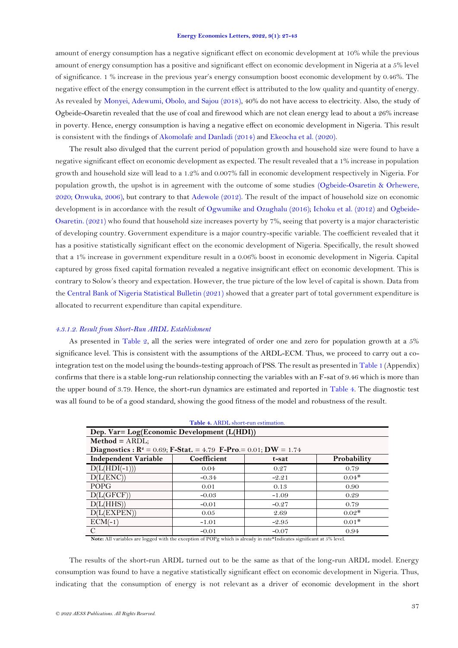amount of energy consumption has a negative significant effect on economic development at 10% while the previous amount of energy consumption has a positive and significant effect on economic development in Nigeria at a 5% level of significance. 1 % increase in the previous year's energy consumption boost economic development by 0.46%. The negative effect of the energy consumption in the current effect is attributed to the low quality and quantity of energy. As revealed by [Monyei, Adewumi, Obolo, and Sajou \(2018\)](#page-14-17), 40% do not have access to electricity. Also, the study of Ogbeide-Osaretin revealed that the use of coal and firewood which are not clean energy lead to about a 26% increase in poverty. Hence, energy consumption is having a negative effect on economic development in Nigeria. This result is consistent with the findings of [Akomolafe and Danladi \(2014\)](#page-13-16) and [Ekeocha et al. \(2020\)](#page-13-8).

The result also divulged that the current period of population growth and household size were found to have a negative significant effect on economic development as expected. The result revealed that a 1% increase in population growth and household size will lead to a 1.2% and 0.007% fall in economic development respectively in Nigeria. For population growth, the upshot is in agreement with the outcome of some studies [\(Ogbeide-Osaretin & Orhewere,](#page-14-18)  [2020;](#page-14-18) [Onwuka, 2006\)](#page-15-17), but contrary to that [Adewole \(2012\)](#page-13-17). The result of the impact of household size on economic development is in accordance with the result of [Ogwumike and Ozughalu \(2016\)](#page-14-19); [Ichoku et al. \(2012\)](#page-14-16) and [Ogbeide-](#page-14-5)[Osaretin. \(2021\)](#page-14-5) who found that household size increases poverty by 7%, seeing that poverty is a major characteristic of developing country. Government expenditure is a major country-specific variable. The coefficient revealed that it has a positive statistically significant effect on the economic development of Nigeria. Specifically, the result showed that a 1% increase in government expenditure result in a 0.06% boost in economic development in Nigeria. Capital captured by gross fixed capital formation revealed a negative insignificant effect on economic development. This is contrary to Solow's theory and expectation. However, the true picture of the low level of capital is shown. Data from the [Central Bank of Nigeria Statistical Bulletin \(2021\)](#page-13-14) showed that a greater part of total government expenditure is allocated to recurrent expenditure than capital expenditure.

## *4.3.1.2. Result from Short-Run ARDL Establishment*

As presented in [Table 2,](#page-9-1) all the series were integrated of order one and zero for population growth at a 5% significance level. This is consistent with the assumptions of the ARDL-ECM. Thus, we proceed to carry out a cointegration test on the model using the bounds-testing approach of PSS. The result as presented i[n Table 1](#page-16-0) (Appendix) confirms that there is a stable long-run relationship connecting the variables with an F-sat of 9.46 which is more than the upper bound of 3.79. Hence, the short-run dynamics are estimated and reported in [Table 4.](#page-10-0) The diagnostic test was all found to be of a good standard, showing the good fitness of the model and robustness of the result.

<span id="page-10-0"></span>

| Table 4. ARDL short-run estimation.                                                                      |             |         |             |  |  |
|----------------------------------------------------------------------------------------------------------|-------------|---------|-------------|--|--|
| Dep. Var= Log(Economic Development (L(HDI))                                                              |             |         |             |  |  |
| $Method = ARDL;$                                                                                         |             |         |             |  |  |
| <b>Diagnostics : R<sup>2</sup></b> = 0.69; <b>F-Stat.</b> = 4.79 <b>F-Pro</b> . = 0.01; <b>DW</b> = 1.74 |             |         |             |  |  |
| <b>Independent Variable</b>                                                                              | Coefficient | t-sat   | Probability |  |  |
| $D(L(HDI(-1)))$                                                                                          | 0.04        | 0.27    | 0.79        |  |  |
| D(L(ENC))                                                                                                | $-0.34$     | $-2.21$ | $0.04*$     |  |  |
| <b>POPG</b>                                                                                              | 0.01        | 0.13    | 0.90        |  |  |
| D(L(GFCF))                                                                                               | $-0.03$     | $-1.09$ | 0.29        |  |  |
| D(L(HHS))                                                                                                | $-0.01$     | $-0.27$ | 0.79        |  |  |
| D(L(EXPEN))                                                                                              | 0.05        | 2.69    | $0.02*$     |  |  |
| $ECM(-1)$                                                                                                | $-1.01$     | $-2.95$ | $0.01*$     |  |  |
| C                                                                                                        | $-0.01$     | $-0.07$ | 0.94        |  |  |

**Note:** All variables are logged with the exception of POPg which is already in rate\*Indicates significant at 5% level.

The results of the short-run ARDL turned out to be the same as that of the long-run ARDL model. Energy consumption was found to have a negative statistically significant effect on economic development in Nigeria. Thus, indicating that the consumption of energy is not relevant as a driver of economic development in the short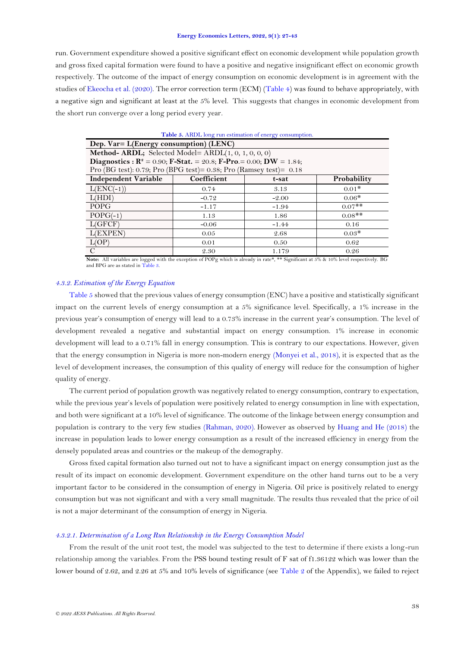run. Government expenditure showed a positive significant effect on economic development while population growth and gross fixed capital formation were found to have a positive and negative insignificant effect on economic growth respectively. The outcome of the impact of energy consumption on economic development is in agreement with the studies of [Ekeocha et al. \(2020\)](#page-13-8). The error correction term (ECM) [\(Table 4\)](#page-10-0) was found to behave appropriately, with a negative sign and significant at least at the 5% level. This suggests that changes in economic development from the short run converge over a long period every year.

<span id="page-11-0"></span>

| Table 5. ARDL long run estimation of energy consumption.               |                                     |         |           |  |  |
|------------------------------------------------------------------------|-------------------------------------|---------|-----------|--|--|
| Dep. Var= L(Energy consumption) (LENC)                                 |                                     |         |           |  |  |
| <b>Method- ARDL;</b> Selected Model= $ARDL(1, 0, 1, 0, 0, 0)$          |                                     |         |           |  |  |
| Diagnostics : $R^2 = 0.90$ ; F-Stat. = 20.8; F-Pro. = 0.00; DW = 1.84; |                                     |         |           |  |  |
| Pro (BG test): 0.79; Pro (BPG test)= 0.38; Pro (Ramsey test)= $0.18$   |                                     |         |           |  |  |
| Independent Variable                                                   | Coefficient<br>Probability<br>t-sat |         |           |  |  |
| $L(ENC(-1))$                                                           | 0.74                                | 3.13    | $0.01*$   |  |  |
| L(HDI)                                                                 | $-0.72$                             | $-2.00$ | $0.06*$   |  |  |
| <b>POPG</b>                                                            | $-1.17$                             | $-1.94$ | $0.07$ ** |  |  |
| $POPG(-1)$                                                             | 1.13                                | 1.86    | $0.08**$  |  |  |
| L(GFCF)                                                                | $-0.06$                             | $-1.44$ | 0.16      |  |  |
| L(EXPEN)                                                               | 0.05                                | 2.68    | $0.03*$   |  |  |
| L(OP)<br>0.50<br>0.01<br>0.62                                          |                                     |         |           |  |  |
| C                                                                      | 2.30                                | 1.179   | 0.26      |  |  |

**Note:** All variables are logged with the exception of POPg which is already in rate\*, \*\* Significant at 5% & 10% level respectively. BG and BPG are as stated i[n Table 3.](#page-9-2)

# *4.3.2. Estimation of the Energy Equation*

[Table 5](#page-11-0) showed that the previous values of energy consumption (ENC) have a positive and statistically significant impact on the current levels of energy consumption at a 5% significance level. Specifically, a 1% increase in the previous year's consumption of energy will lead to a 0.73% increase in the current year's consumption. The level of development revealed a negative and substantial impact on energy consumption. 1% increase in economic development will lead to a 0.71% fall in energy consumption. This is contrary to our expectations. However, given that the energy consumption in Nigeria is more non-modern energy [\(Monyei et al., 2018\)](#page-14-17), it is expected that as the level of development increases, the consumption of this quality of energy will reduce for the consumption of higher quality of energy.

The current period of population growth was negatively related to energy consumption, contrary to expectation, while the previous year's levels of population were positively related to energy consumption in line with expectation, and both were significant at a 10% level of significance. The outcome of the linkage between energy consumption and population is contrary to the very few studies [\(Rahman, 2020\)](#page-15-4). However as observed by [Huang and He \(2018\)](#page-14-3) the increase in population leads to lower energy consumption as a result of the increased efficiency in energy from the densely populated areas and countries or the makeup of the demography.

Gross fixed capital formation also turned out not to have a significant impact on energy consumption just as the result of its impact on economic development. Government expenditure on the other hand turns out to be a very important factor to be considered in the consumption of energy in Nigeria. Oil price is positively related to energy consumption but was not significant and with a very small magnitude. The results thus revealed that the price of oil is not a major determinant of the consumption of energy in Nigeria.

## *4.3.2.1. Determination of a Long Run Relationship in the Energy Consumption Model*

From the result of the unit root test, the model was subjected to the test to determine if there exists a long-run relationship among the variables. From the PSS bound testing result of F sat of f1.36122 which was lower than the lower bound of 2.62, and 2.26 at 5% and 10% levels of significance (see [Table 2](#page-16-1) of the Appendix), we failed to reject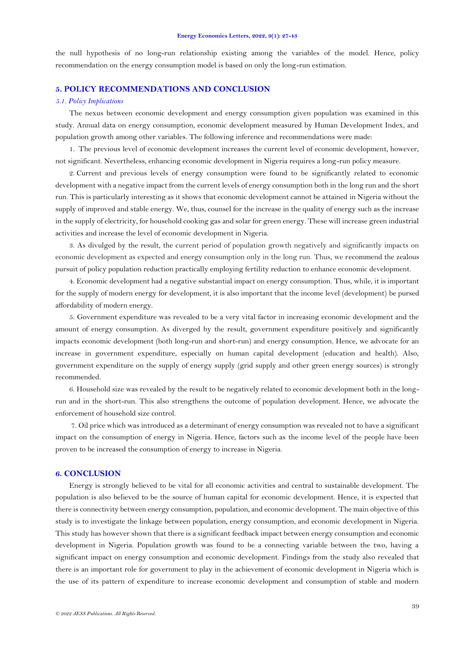the null hypothesis of no long-run relationship existing among the variables of the model. Hence, policy recommendation on the energy consumption model is based on only the long-run estimation.

# **5. POLICY RECOMMENDATIONS AND CONCLUSION**

## *5.1. Policy Implications*

The nexus between economic development and energy consumption given population was examined in this study. Annual data on energy consumption, economic development measured by Human Development Index, and population growth among other variables. The following inference and recommendations were made:

1. The previous level of economic development increases the current level of economic development, however, not significant. Nevertheless, enhancing economic development in Nigeria requires a long-run policy measure.

2. Current and previous levels of energy consumption were found to be significantly related to economic development with a negative impact from the current levels of energy consumption both in the long run and the short run. This is particularly interesting as it shows that economic development cannot be attained in Nigeria without the supply of improved and stable energy. We, thus, counsel for the increase in the quality of energy such as the increase in the supply of electricity, for household cooking gas and solar for green energy. These will increase green industrial activities and increase the level of economic development in Nigeria.

3. As divulged by the result, the current period of population growth negatively and significantly impacts on economic development as expected and energy consumption only in the long run. Thus, we recommend the zealous pursuit of policy population reduction practically employing fertility reduction to enhance economic development.

4. Economic development had a negative substantial impact on energy consumption. Thus, while, it is important for the supply of modern energy for development, it is also important that the income level (development) be pursed affordability of modern energy.

5. Government expenditure was revealed to be a very vital factor in increasing economic development and the amount of energy consumption. As diverged by the result, government expenditure positively and significantly impacts economic development (both long-run and short-run) and energy consumption. Hence, we advocate for an increase in government expenditure, especially on human capital development (education and health). Also, government expenditure on the supply of energy supply (grid supply and other green energy sources) is strongly recommended.

6. Household size was revealed by the result to be negatively related to economic development both in the longrun and in the short-run. This also strengthens the outcome of population development. Hence, we advocate the enforcement of household size control.

7. Oil price which was introduced as a determinant of energy consumption was revealed not to have a significant impact on the consumption of energy in Nigeria. Hence, factors such as the income level of the people have been proven to be increased the consumption of energy to increase in Nigeria.

## **6. CONCLUSION**

Energy is strongly believed to be vital for all economic activities and central to sustainable development. The population is also believed to be the source of human capital for economic development. Hence, it is expected that there is connectivity between energy consumption, population, and economic development. The main objective of this study is to investigate the linkage between population, energy consumption, and economic development in Nigeria. This study has however shown that there is a significant feedback impact between energy consumption and economic development in Nigeria. Population growth was found to be a connecting variable between the two, having a significant impact on energy consumption and economic development. Findings from the study also revealed that there is an important role for government to play in the achievement of economic development in Nigeria which is the use of its pattern of expenditure to increase economic development and consumption of stable and modern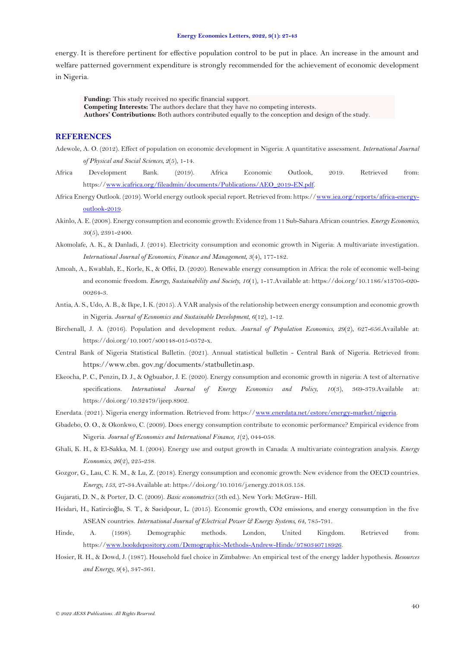energy. It is therefore pertinent for effective population control to be put in place. An increase in the amount and welfare patterned government expenditure is strongly recommended for the achievement of economic development in Nigeria.

**Funding:** This study received no specific financial support.

**Competing Interests:** The authors declare that they have no competing interests.

**Authors' Contributions:** Both authors contributed equally to the conception and design of the study.

# **REFERENCES**

- <span id="page-13-17"></span>Adewole, A. O. (2012). Effect of population on economic development in Nigeria: A quantitative assessment. *International Journal of Physical and Social Sciences, 2*(5), 1-14.
- <span id="page-13-0"></span>Africa Development Bank. (2019). Africa Economic Outlook, 2019. Retrieved from: https:/[/www.icafrica.org/fileadmin/documents/Publications/AEO\\_2019-EN.pdf.](http://www.icafrica.org/fileadmin/documents/Publications/AEO_2019-EN.pdf)
- <span id="page-13-1"></span>Africa Energy Outlook. (2019). World energy outlook special report. Retrieved from: https:/[/www.iea.org/reports/africa-energy](http://www.iea.org/reports/africa-energy-outlook-2019)[outlook-2019.](http://www.iea.org/reports/africa-energy-outlook-2019)
- <span id="page-13-13"></span>Akinlo, A. E. (2008). Energy consumption and economic growth: Evidence from 11 Sub-Sahara African countries. *Energy Economics, 30*(5), 2391-2400.
- <span id="page-13-16"></span>Akomolafe, A. K., & Danladi, J. (2014). Electricity consumption and economic growth in Nigeria: A multivariate investigation. *International Journal of Economics, Finance and Management, 3*(4), 177-182.
- <span id="page-13-11"></span>Amoah, A., Kwablah, E., Korle, K., & Offei, D. (2020). Renewable energy consumption in Africa: the role of economic well-being and economic freedom. *Energy, Sustainability and Society, 10*(1), 1-17.Available at: https://doi.org/10.1186/s13705-020- 00264-3.
- <span id="page-13-9"></span>Antia, A. S., Udo, A. B., & Ikpe, I. K. (2015). A VAR analysis of the relationship between energy consumption and economic growth in Nigeria. *Journal of Economics and Sustainable Development, 6*(12), 1-12.
- <span id="page-13-6"></span>Birchenall, J. A. (2016). Population and development redux. *Journal of Population Economics, 29*(2), 627-656.Available at: https://doi.org/10.1007/s00148-015-0572-x.
- <span id="page-13-14"></span>Central Bank of Nigeria Statistical Bulletin. (2021). Annual statistical bulletin - Central Bank of Nigeria. Retrieved from: https://www.cbn. gov.ng/documents/statbulletin.asp.
- <span id="page-13-8"></span>Ekeocha, P. C., Penzin, D. J., & Ogbuabor, J. E. (2020). Energy consumption and economic growth in nigeria: A test of alternative specifications. *International Journal of Energy Economics and Policy, 10*(3), 369-379.Available at: https://doi.org/10.32479/ijeep.8902.
- <span id="page-13-2"></span>Enerdata. (2021). Nigeria energy information. Retrieved from: https:/[/www.enerdata.net/estore/energy-market/nigeria.](http://www.enerdata.net/estore/energy-market/nigeria)
- <span id="page-13-12"></span>Gbadebo, O. O., & Okonkwo, C. (2009). Does energy consumption contribute to economic performance? Empirical evidence from Nigeria. *Journal of Economics and International Finance, 1*(2), 044-058.
- <span id="page-13-3"></span>Ghali, K. H., & El-Sakka, M. I. (2004). Energy use and output growth in Canada: A multivariate cointegration analysis. *Energy Economics, 26*(2), 225-238.
- <span id="page-13-4"></span>Gozgor, G., Lau, C. K. M., & Lu, Z. (2018). Energy consumption and economic growth: New evidence from the OECD countries. *Energy, 153*, 27-34.Available at: https://doi.org/10.1016/j.energy.2018.03.158.
- <span id="page-13-15"></span>Gujarati, D. N., & Porter, D. C. (2009). *Basic econometrics* (5th ed.). New York: McGraw- Hill.
- <span id="page-13-10"></span>Heidari, H., Katircioğlu, S. T., & Saeidpour, L. (2015). Economic growth, CO2 emissions, and energy consumption in the five ASEAN countries. *International Journal of Electrical Power & Energy Systems, 64*, 785-791.
- <span id="page-13-5"></span>Hinde, A. (1998). Demographic methods. London, United Kingdom. Retrieved from: https:/[/www.bookdepository.com/Demographic-Methods-Andrew-Hinde/9780340718926.](http://www.bookdepository.com/Demographic-Methods-Andrew-Hinde/9780340718926)
- <span id="page-13-7"></span>Hosier, R. H., & Dowd, J. (1987). Household fuel choice in Zimbabwe: An empirical test of the energy ladder hypothesis. *Resources and Energy, 9*(4), 347-361.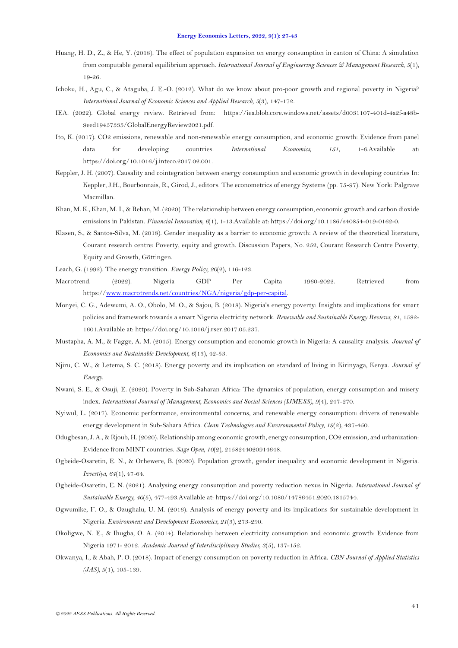- <span id="page-14-3"></span>Huang, H. D., Z., & He, Y. (2018). The effect of population expansion on energy consumption in canton of China: A simulation from computable general equilibrium approach. *International Journal of Engineering Sciences* & Management Research, 5(1), 19-26.
- <span id="page-14-16"></span>Ichoku, H., Agu, C., & Ataguba, J. E.-O. (2012). What do we know about pro-poor growth and regional poverty in Nigeria? *International Journal of Economic Sciences and Applied Research, 5*(3), 147-172.
- <span id="page-14-1"></span>IEA. (2022). Global energy review. Retrieved from: https://iea.blob.core.windows.net/assets/d0031107-401d-4a2f-a48b-9eed19457335/GlobalEnergyReview2021.pdf.
- <span id="page-14-0"></span>Ito, K. (2017). CO2 emissions, renewable and non-renewable energy consumption, and economic growth: Evidence from panel data for developing countries. *International Economics, 151*, 1-6.Available at: https://doi.org/10.1016/j.inteco.2017.02.001.
- <span id="page-14-9"></span>Keppler, J. H. (2007). Causality and cointegration between energy consumption and economic growth in developing countries In: Keppler, J.H., Bourbonnais, R., Girod, J., editors. The econometrics of energy Systems (pp. 75-97). New York: Palgrave Macmillan.
- <span id="page-14-12"></span>Khan, M. K., Khan, M. I., & Rehan, M. (2020). The relationship between energy consumption, economic growth and carbon dioxide emissions in Pakistan. *Financial Innovation, 6*(1), 1-13.Available at: https://doi.org/10.1186/s40854-019-0162-0.
- <span id="page-14-6"></span>Klasen, S., & Santos-Silva, M. (2018). Gender inequality as a barrier to economic growth: A review of the theoretical literature, Courant research centre: Poverty, equity and growth. Discussion Papers, No. 252, Courant Research Centre Poverty, Equity and Growth, Göttingen.
- <span id="page-14-8"></span>Leach, G. (1992). The energy transition. *Energy Policy, 20*(2), 116-123.
- <span id="page-14-2"></span>Macrotrend. (2022). Nigeria GDP Per Capita 1960-2022. Retrieved from https:/[/www.macrotrends.net/countries/NGA/nigeria/gdp-per-capital.](http://www.macrotrends.net/countries/NGA/nigeria/gdp-per-capital)
- <span id="page-14-17"></span>Monyei, C. G., Adewumi, A. O., Obolo, M. O., & Sajou, B. (2018). Nigeria's energy poverty: Insights and implications for smart policies and framework towards a smart Nigeria electricity network. *Renewable and Sustainable Energy Reviews, 81*, 1582- 1601.Available at: https://doi.org/10.1016/j.rser.2017.05.237.
- <span id="page-14-11"></span>Mustapha, A. M., & Fagge, A. M. (2015). Energy consumption and economic growth in Nigeria: A causality analysis. *Journal of Economics and Sustainable Development, 6*(13), 42-53.
- <span id="page-14-7"></span>Njiru, C. W., & Letema, S. C. (2018). Energy poverty and its implication on standard of living in Kirinyaga, Kenya. *Journal of Energy*.
- <span id="page-14-14"></span>Nwani, S. E., & Osuji, E. (2020). Poverty in Sub-Saharan Africa: The dynamics of population, energy consumption and misery index. *International Journal of Management, Economics and Social Sciences (IJMESS), 9*(4), 247-270.
- <span id="page-14-4"></span>Nyiwul, L. (2017). Economic performance, environmental concerns, and renewable energy consumption: drivers of renewable energy development in Sub-Sahara Africa. *Clean Technologies and Environmental Policy, 19*(2), 437-450.
- <span id="page-14-13"></span>Odugbesan, J. A., & Rjoub, H. (2020). Relationship among economic growth, energy consumption, CO2 emission, and urbanization: Evidence from MINT countries. *Sage Open, 10*(2), 2158244020914648.
- <span id="page-14-18"></span>Ogbeide-Osaretin, E. N., & Orhewere, B. (2020). Population growth, gender inequality and economic development in Nigeria. *Izvestiya, 64*(1), 47-64.
- <span id="page-14-5"></span>Ogbeide-Osaretin, E. N. (2021). Analysing energy consumption and poverty reduction nexus in Nigeria. *International Journal of Sustainable Energy, 40*(5), 477-493.Available at: https://doi.org/10.1080/14786451.2020.1815744.
- <span id="page-14-19"></span>Ogwumike, F. O., & Ozughalu, U. M. (2016). Analysis of energy poverty and its implications for sustainable development in Nigeria. *Environment and Development Economics, 21*(3), 273-290.
- <span id="page-14-10"></span>Okoligwe, N. E., & Ihugba, O. A. (2014). Relationship between electricity consumption and economic growth: Evidence from Nigeria 1971- 2012. *Academic Journal of Interdisciplinary Studies, 3*(5), 137-152.
- <span id="page-14-15"></span>Okwanya, I., & Abah, P. O. (2018). Impact of energy consumption on poverty reduction in Africa. *CBN Journal of Applied Statistics (JAS), 9*(1), 105-139.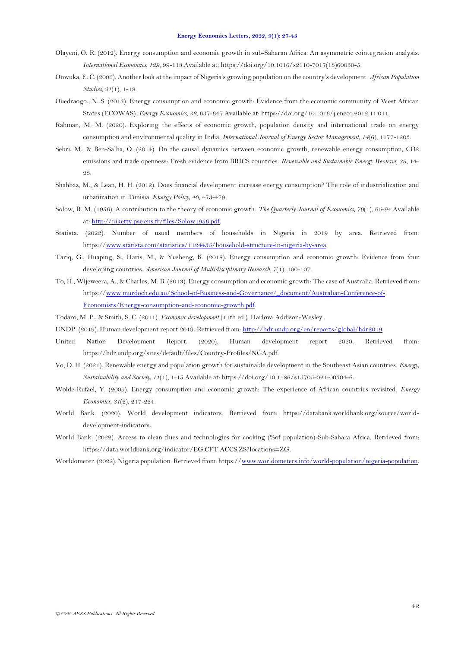- <span id="page-15-13"></span>Olayeni, O. R. (2012). Energy consumption and economic growth in sub-Saharan Africa: An asymmetric cointegration analysis. *International Economics, 129*, 99-118.Available at: https://doi.org/10.1016/s2110-7017(13)60050-5.
- <span id="page-15-17"></span>Onwuka, E. C. (2006). Another look at the impact of Nigeria's growing population on the country's development. *African Population Studies, 21*(1), 1-18.
- <span id="page-15-10"></span>Ouedraogo., N. S. (2013). Energy consumption and economic growth: Evidence from the economic community of West African States (ECOWAS). *Energy Economics, 36*, 637-647.Available at: https://doi.org/10.1016/j.eneco.2012.11.011.
- <span id="page-15-4"></span>Rahman, M. M. (2020). Exploring the effects of economic growth, population density and international trade on energy consumption and environmental quality in India. *International Journal of Energy Sector Management, 14*(6), 1177-1203.
- <span id="page-15-11"></span>Sebri, M., & Ben-Salha, O. (2014). On the causal dynamics between economic growth, renewable energy consumption, CO2 emissions and trade openness: Fresh evidence from BRICS countries. *Renewable and Sustainable Energy Reviews, 39*, 14- 23.
- <span id="page-15-5"></span>Shahbaz, M., & Lean, H. H. (2012). Does financial development increase energy consumption? The role of industrialization and urbanization in Tunisia. *Energy Policy, 40*, 473-479.
- <span id="page-15-12"></span>Solow, R. M. (1956). A contribution to the theory of economic growth. *The Quarterly Journal of Economics, 70*(1), 65-94.Available at[: http://piketty.pse.ens.fr/files/Solow1956.pdf.](http://piketty.pse.ens.fr/files/Solow1956.pdf)
- <span id="page-15-16"></span>Statista. (2022). Number of usual members of households in Nigeria in 2019 by area. Retrieved from: https:/[/www.statista.com/statistics/1124435/household-structure-in-nigeria-by-area.](http://www.statista.com/statistics/1124435/household-structure-in-nigeria-by-area)
- <span id="page-15-6"></span>Tariq, G., Huaping, S., Haris, M., & Yusheng, K. (2018). Energy consumption and economic growth: Evidence from four developing countries. *American Journal of Multidisciplinary Research, 7*(1), 100-107.
- <span id="page-15-9"></span>To, H., Wijeweera, A., & Charles, M. B. (2013). Energy consumption and economic growth: The case of Australia. Retrieved from: https:/[/www.murdoch.edu.au/School-of-Business-and-Governance/\\_document/Australian-Conference-of-](http://www.murdoch.edu.au/School-of-Business-and-Governance/_document/Australian-Conference-of-Economists/Energy-consumption-and-economic-growth.pdf)[Economists/Energy-consumption-and-economic-growth.pdf.](http://www.murdoch.edu.au/School-of-Business-and-Governance/_document/Australian-Conference-of-Economists/Energy-consumption-and-economic-growth.pdf)
- <span id="page-15-8"></span>Todaro, M. P., & Smith, S. C. (2011). *Economic development* (11th ed.). Harlow: Addison-Wesley.
- <span id="page-15-2"></span>UNDP. (2019). Human development report 2019. Retrieved from[: http://hdr.undp.org/en/reports/global/hdr2019.](http://hdr.undp.org/en/reports/global/hdr2019)
- <span id="page-15-1"></span>United Nation Development Report. (2020). Human development report 2020. Retrieved from: https://hdr.undp.org/sites/default/files/Country-Profiles/NGA.pdf.
- <span id="page-15-7"></span>Vo, D. H. (2021). Renewable energy and population growth for sustainable development in the Southeast Asian countries. *Energy, Sustainability and Society, 11*(1), 1-15.Available at: https://doi.org/10.1186/s13705-021-00304-6.
- <span id="page-15-14"></span>Wolde-Rufael, Y. (2009). Energy consumption and economic growth: The experience of African countries revisited. *Energy Economics, 31*(2), 217-224.
- <span id="page-15-15"></span>World Bank. (2020). World development indicators. Retrieved from: https://databank.worldbank.org/source/worlddevelopment-indicators.
- <span id="page-15-3"></span>World Bank. (2022). Access to clean flues and technologies for cooking (%of population)-Sub-Sahara Africa. Retrieved from: https://data.worldbank.org/indicator/EG.CFT.ACCS.ZS?locations=ZG.
- <span id="page-15-0"></span>Worldometer. (2022). Nigeria population. Retrieved from: https:/[/www.worldometers.info/world-population/nigeria-population.](http://www.worldometers.info/world-population/nigeria-population)